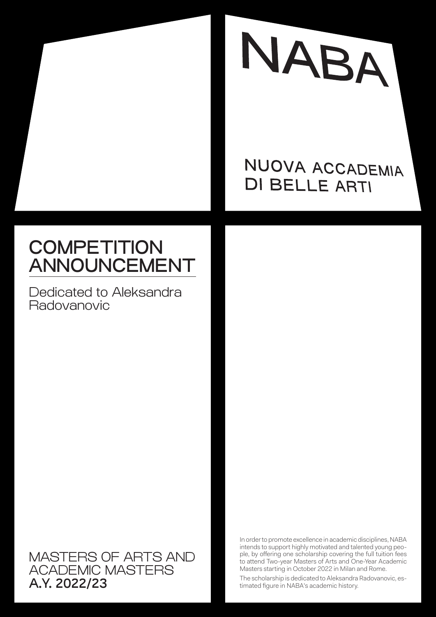

## NUOVA ACCADEMIA **DI BELLE ARTI**

# **COMPETITION** ANNOUNCEMENT

Dedicated to Aleksandra Radovanovic

MASTERS OF ARTS AND ACADEMIC MASTERS A.Y. 2022/23

In order to promote excellence in academic disciplines, NABA intends to support highly motivated and talented young people, by offering one scholarship covering the full tuition fees to attend Two-year Masters of Arts and One-Year Academic Masters starting in October 2022 in Milan and Rome.

The scholarship is dedicated to Aleksandra Radovanovic, estimated figure in NABA's academic history.